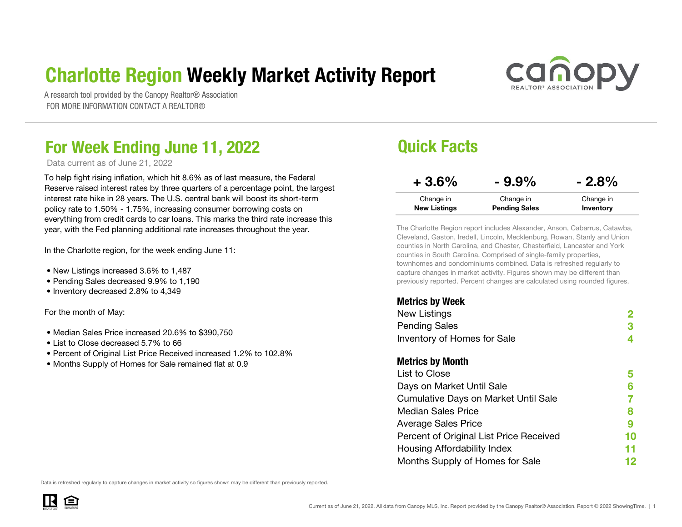### Charlotte Region Weekly Market Activity Report



A research tool provided by the Canopy Realtor® Association FOR MORE INFORMATION CONTACT A REALTOR®

### For Week Ending June 11, 2022 **Drift Conventional Convention Convention** Quick Facts

Data current as of June 21, 2022

To help fight rising inflation, which hit 8.6% as of last measure, the Federal Reserve raised interest rates by three quarters of a percentage point, the largest interest rate hike in 28 years. The U.S. central bank will boost its short-term policy rate to 1.50% - 1.75%, increasing consumer borrowing costs on everything from credit cards to car loans. This marks the third rate increase this year, with the Fed planning additional rate increases throughout the year.

In the Charlotte region, for the week ending June 11:

- New Listings increased 3.6% to 1,487
- Pending Sales decreased 9.9% to 1,190
- Inventory decreased 2.8% to 4,349

For the month of May:

- Median Sales Price increased 20.6% to \$390,750
- List to Close decreased 5.7% to 66
- Percent of Original List Price Received increased 1.2% to 102.8%
- Months Supply of Homes for Sale remained flat at 0.9

| $+3.6%$             | $-9.9%$              | $-2.8%$   |
|---------------------|----------------------|-----------|
| Change in           | Change in            | Change in |
| <b>New Listings</b> | <b>Pending Sales</b> | Inventory |

The Charlotte Region report includes Alexander, Anson, Cabarrus, Catawba, Cleveland, Gaston, Iredell, Lincoln, Mecklenburg, Rowan, Stanly and Union counties in North Carolina, and Chester, Chesterfield, Lancaster and York counties in South Carolina. Comprised of single-family properties, townhomes and condominiums combined. Data is refreshed regularly to capture changes in market activity. Figures shown may be different than previously reported. Percent changes are calculated using rounded figures.

#### Metrics by Week

| <b>New Listings</b>                         |    |
|---------------------------------------------|----|
| <b>Pending Sales</b>                        | 3  |
| Inventory of Homes for Sale                 | 4  |
| <b>Metrics by Month</b>                     |    |
| List to Close                               | 5  |
| Days on Market Until Sale                   | 6  |
| <b>Cumulative Days on Market Until Sale</b> |    |
| <b>Median Sales Price</b>                   | 8  |
| <b>Average Sales Price</b>                  | 9  |
| Percent of Original List Price Received     | 10 |
| Housing Affordability Index                 | 11 |
| Months Supply of Homes for Sale             | 12 |
|                                             |    |

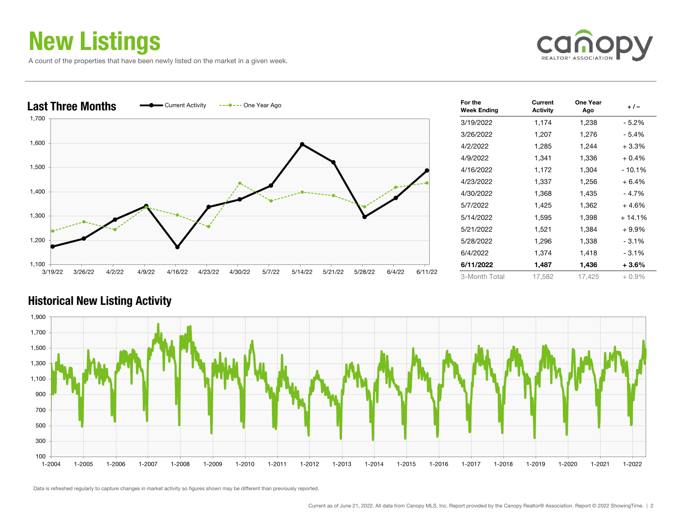### New Listings

A count of the properties that have been newly listed on the market in a given week.





| For the<br><b>Week Ending</b> | Current<br><b>Activity</b> | One Year<br>Ago | $+/-$    |
|-------------------------------|----------------------------|-----------------|----------|
| 3/19/2022                     | 1,174                      | 1,238           | - 5.2%   |
| 3/26/2022                     | 1,207                      | 1,276           | - 5.4%   |
| 4/2/2022                      | 1,285                      | 1,244           | $+3.3%$  |
| 4/9/2022                      | 1,341                      | 1,336           | $+0.4%$  |
| 4/16/2022                     | 1,172                      | 1,304           | $-10.1%$ |
| 4/23/2022                     | 1,337                      | 1,256           | $+6.4%$  |
| 4/30/2022                     | 1,368                      | 1,435           | - 4.7%   |
| 5/7/2022                      | 1,425                      | 1,362           | $+4.6%$  |
| 5/14/2022                     | 1,595                      | 1,398           | $+14.1%$ |
| 5/21/2022                     | 1,521                      | 1,384           | $+9.9%$  |
| 5/28/2022                     | 1,296                      | 1,338           | $-3.1%$  |
| 6/4/2022                      | 1,374                      | 1,418           | $-3.1%$  |
| 6/11/2022                     | 1,487                      | 1,436           | $+3.6%$  |
| 3-Month Total                 | 17,582                     | 17,425          | $+0.9\%$ |



#### Historical New Listing Activity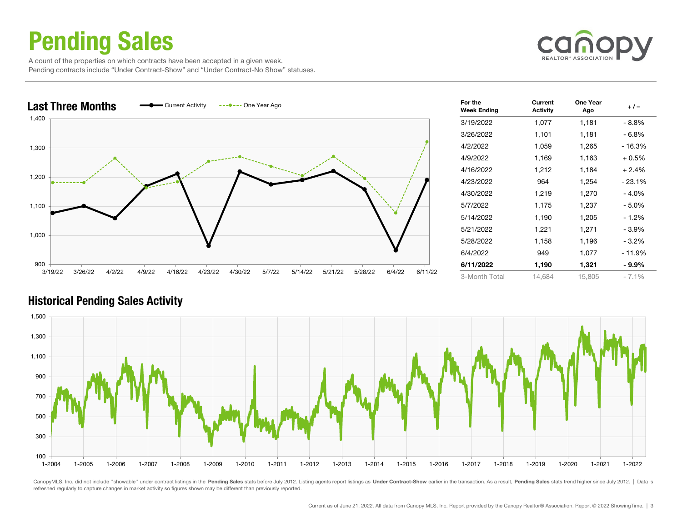### Pending Sales

 A count of the properties on which contracts have been accepted in a given week. Pending contracts include "Under Contract-Show" and "Under Contract-No Show" statuses.





| For the<br><b>Week Ending</b> | Current<br><b>Activity</b> | One Year<br>Ago | $+/-$    |
|-------------------------------|----------------------------|-----------------|----------|
| 3/19/2022                     | 1,077                      | 1,181           | - 8.8%   |
| 3/26/2022                     | 1,101                      | 1,181           | - 6.8%   |
| 4/2/2022                      | 1,059                      | 1,265           | - 16.3%  |
| 4/9/2022                      | 1,169                      | 1,163           | $+0.5%$  |
| 4/16/2022                     | 1,212                      | 1,184           | $+2.4%$  |
| 4/23/2022                     | 964                        | 1,254           | - 23.1%  |
| 4/30/2022                     | 1,219                      | 1,270           | $-4.0%$  |
| 5/7/2022                      | 1,175                      | 1,237           | $-5.0\%$ |
| 5/14/2022                     | 1,190                      | 1,205           | $-1.2%$  |
| 5/21/2022                     | 1,221                      | 1,271           | - 3.9%   |
| 5/28/2022                     | 1,158                      | 1,196           | $-3.2\%$ |
| 6/4/2022                      | 949                        | 1,077           | - 11.9%  |
| 6/11/2022                     | 1,190                      | 1,321           | - 9.9%   |
| 3-Month Total                 | 14,684                     | 15,805          | $-7.1%$  |

#### Historical Pending Sales Activity



CanopyMLS, Inc. did not include "showable" under contract listings in the Pending Sales stats before July 2012. Listing agents report listings as Under Contract-Show earlier in the transaction. As a result, Pending Sales s refreshed regularly to capture changes in market activity so figures shown may be different than previously reported.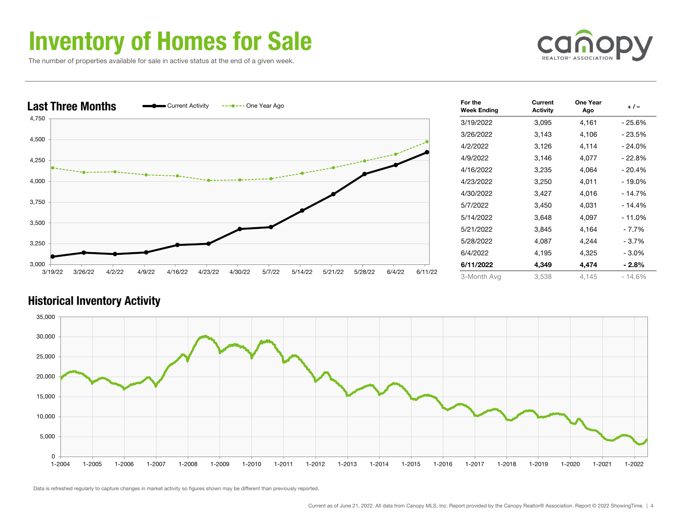### Inventory of Homes for Sale

The number of properties available for sale in active status at the end of a given week.





| For the<br><b>Week Ending</b> | Current<br><b>Activity</b> |       | + / -    |  |
|-------------------------------|----------------------------|-------|----------|--|
| 3/19/2022                     | 3,095                      | 4,161 | - 25.6%  |  |
| 3/26/2022                     | 3,143                      | 4,106 | $-23.5%$ |  |
| 4/2/2022                      | 3,126                      | 4,114 | - 24.0%  |  |
| 4/9/2022                      | 3,146                      | 4,077 | $-22.8%$ |  |
| 4/16/2022                     | 3,235                      | 4,064 | $-20.4%$ |  |
| 4/23/2022                     | 3,250                      | 4,011 | - 19.0%  |  |
| 4/30/2022                     | 3,427                      | 4,016 | $-14.7%$ |  |
| 5/7/2022                      | 3,450                      | 4,031 | - 14.4%  |  |
| 5/14/2022                     | 3,648                      | 4,097 | $-11.0%$ |  |
| 5/21/2022                     | 3,845                      | 4,164 | $-7.7%$  |  |
| 5/28/2022                     | 4,087                      | 4,244 | - 3.7%   |  |
| 6/4/2022                      | 4,195                      | 4,325 | $-3.0%$  |  |
| 6/11/2022                     | 4,349                      | 4,474 | - 2.8%   |  |
| 3-Month Avg                   | 3,538                      | 4,145 | $-14.6%$ |  |

#### Historical Inventory Activity

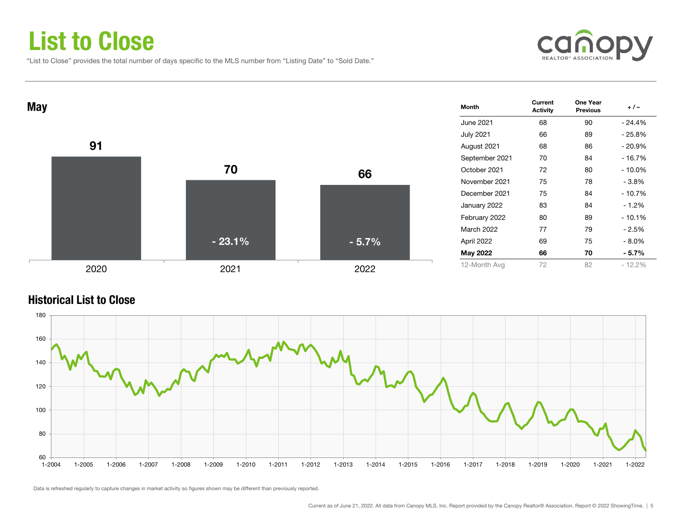### List to Close

"List to Close" provides the total number of days specific to the MLS number from "Listing Date" to "Sold Date."





#### Historical List to Close

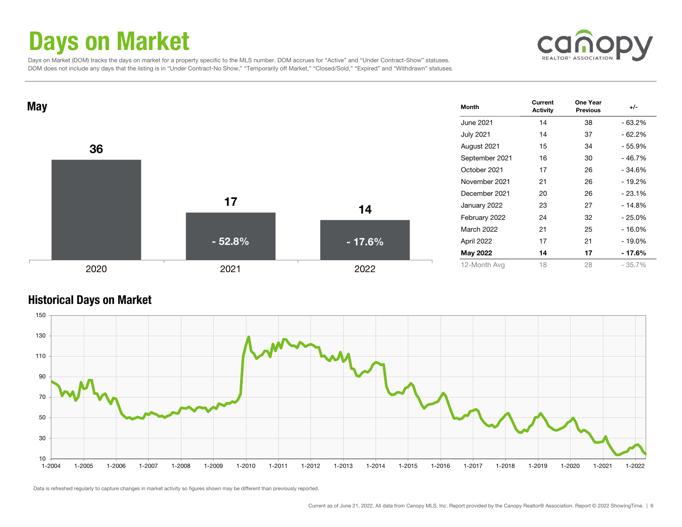### Days on Market



 Days on Market (DOM) tracks the days on market for a property specific to the MLS number. DOM accrues for "Active" and "Under Contract-Show" statuses. DOM does not include any days that the listing is in "Under Contract-No Show," "Temporarily off Market," "Closed/Sold," "Expired" and "Withdrawn" statuses.



#### Historical Days on Market

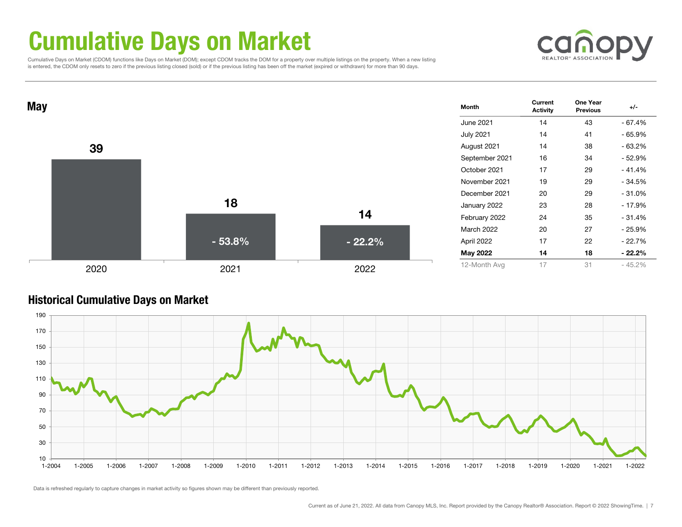### Cumulative Days on Market

 Cumulative Days on Market (CDOM) functions like Days on Market (DOM); except CDOM tracks the DOM for a property over multiple listings on the property. When a new listing is entered, the CDOM only resets to zero if the previous listing closed (sold) or if the previous listing has been off the market (expired or withdrawn) for more than 90 days.





#### Historical Cumulative Days on Market

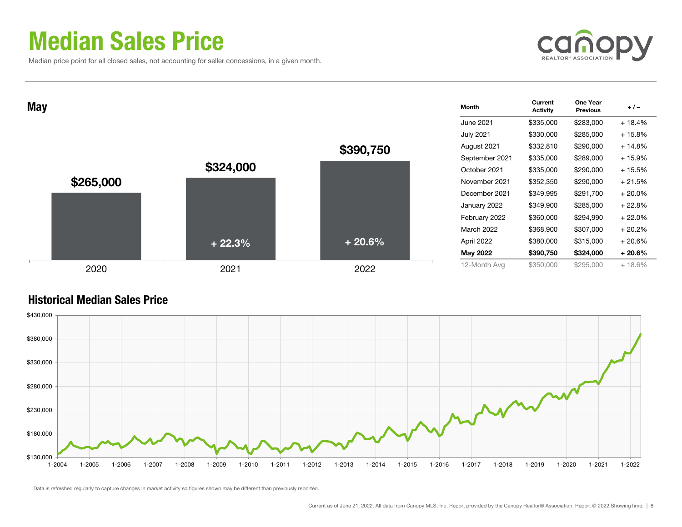### Median Sales Price

Median price point for all closed sales, not accounting for seller concessions, in a given month.



| <b>May</b> |           |           | <b>Month</b>      | Current<br><b>Activity</b> | One Year<br><b>Previous</b> | $+/-$     |
|------------|-----------|-----------|-------------------|----------------------------|-----------------------------|-----------|
|            |           |           | June 2021         | \$335,000                  | \$283,000                   | $+18.4%$  |
|            |           |           | <b>July 2021</b>  | \$330,000                  | \$285,000                   | $+15.8%$  |
|            |           | \$390,750 | August 2021       | \$332,810                  | \$290,000                   | $+14.8%$  |
|            |           |           | September 2021    | \$335,000                  | \$289,000                   | $+15.9%$  |
|            | \$324,000 |           | October 2021      | \$335,000                  | \$290,000                   | $+15.5%$  |
| \$265,000  |           |           | November 2021     | \$352,350                  | \$290,000                   | $+21.5%$  |
|            |           |           | December 2021     | \$349,995                  | \$291,700                   | $+20.0\%$ |
|            |           |           | January 2022      | \$349,900                  | \$285,000                   | $+22.8%$  |
|            |           |           | February 2022     | \$360,000                  | \$294,990                   | $+22.0%$  |
|            |           |           | <b>March 2022</b> | \$368,900                  | \$307,000                   | $+20.2%$  |
|            | $+22.3%$  | $+20.6%$  | April 2022        | \$380,000                  | \$315,000                   | $+20.6%$  |
|            |           |           | May 2022          | \$390,750                  | \$324,000                   | $+20.6%$  |
| 2020       | 2021      | 2022      | 12-Month Avg      | \$350,000                  | \$295,000                   | $+18.6%$  |

### Historical Median Sales Price

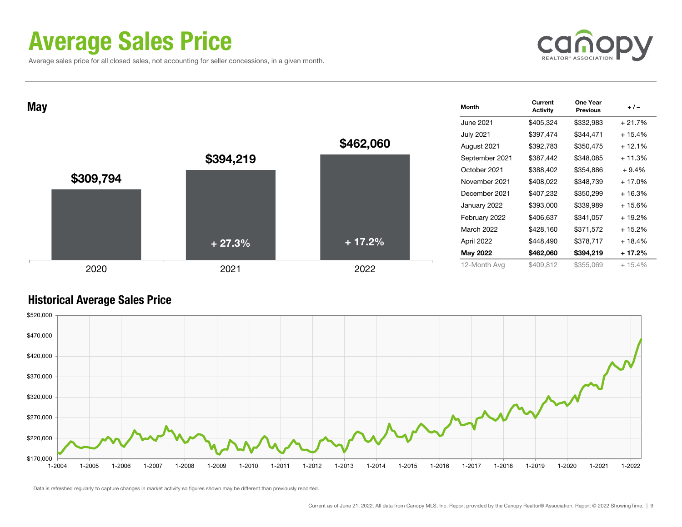### Average Sales Price

Average sales price for all closed sales, not accounting for seller concessions, in a given month.



| <b>May</b> |           |           |           | Month            | Current<br><b>Activity</b> | One Year<br><b>Previous</b> | $+/-$    |
|------------|-----------|-----------|-----------|------------------|----------------------------|-----------------------------|----------|
|            |           |           |           | June 2021        | \$405,324                  | \$332,983                   | $+21.7%$ |
|            |           |           |           | <b>July 2021</b> | \$397,474                  | \$344,471                   | $+15.4%$ |
|            |           |           | \$462,060 | August 2021      | \$392,783                  | \$350,475                   | $+12.1%$ |
|            |           | \$394,219 |           | September 2021   | \$387,442                  | \$348,085                   | $+11.3%$ |
|            |           |           |           | October 2021     | \$388,402                  | \$354,886                   | $+9.4%$  |
|            | \$309,794 |           |           | November 2021    | \$408,022                  | \$348,739                   | $+17.0%$ |
|            |           |           |           | December 2021    | \$407,232                  | \$350,299                   | $+16.3%$ |
|            |           |           |           | January 2022     | \$393,000                  | \$339,989                   | $+15.6%$ |
|            |           |           |           | February 2022    | \$406,637                  | \$341,057                   | $+19.2%$ |
|            |           |           |           | March 2022       | \$428,160                  | \$371,572                   | $+15.2%$ |
|            |           | $+27.3%$  | $+17.2%$  | April 2022       | \$448,490                  | \$378,717                   | $+18.4%$ |
|            |           |           |           | May 2022         | \$462,060                  | \$394,219                   | $+17.2%$ |
|            | 2020      | 2021      | 2022      | 12-Month Avg     | \$409,812                  | \$355,069                   | $+15.4%$ |

#### Historical Average Sales Price

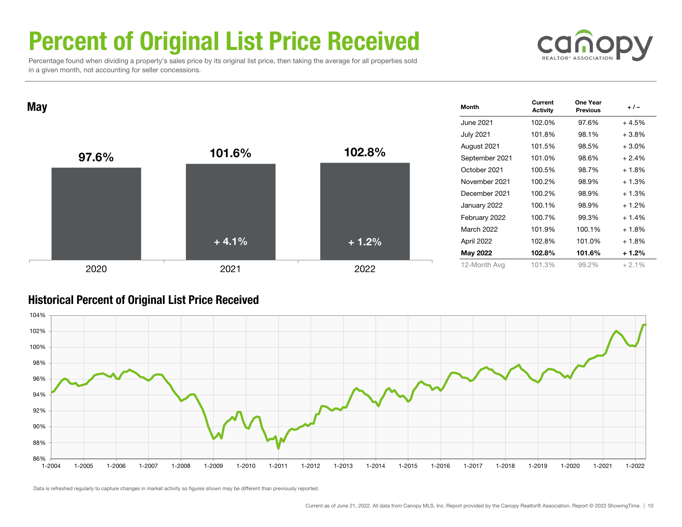# Percent of Original List Price Received

 Percentage found when dividing a property's sales price by its original list price, then taking the average for all properties sold in a given month, not accounting for seller concessions.



 $\mathsf{May} \begin{array}{cccc} \text{Current} & \text{One Year} \ \text{Activity} & \text{Previous} \end{array} \begin{array}{cccc} +/- \end{array}$ June 2021 102.0% 97.6% + 4.5%July 2021 101.8% 98.1% + 3.8% August 2021 101.5% 98.5% + 3.0% September 2021 101.0% 98.6% + 2.4% October 2021 100.5% 98.7% + 1.8% November 2021 100.2% 98.9% + 1.3%December 2021 100.2% 98.9% + 1.3%January 2022 100.1% 98.9% + 1.2% February 2022 100.7% 99.3% + 1.4% March 2022 101.9% 100.1% + 1.8% April 2022 102.8% 101.0% + 1.8% May 2022 102.8% 101.6% + 1.2% 12-Month Avg 101.3% 99.2% + 2.1% 97.6% $\%$  101.6% 102.8% 2020 2021 2022  $+4.1%$ + 1.2%

#### Historical Percent of Original List Price Received

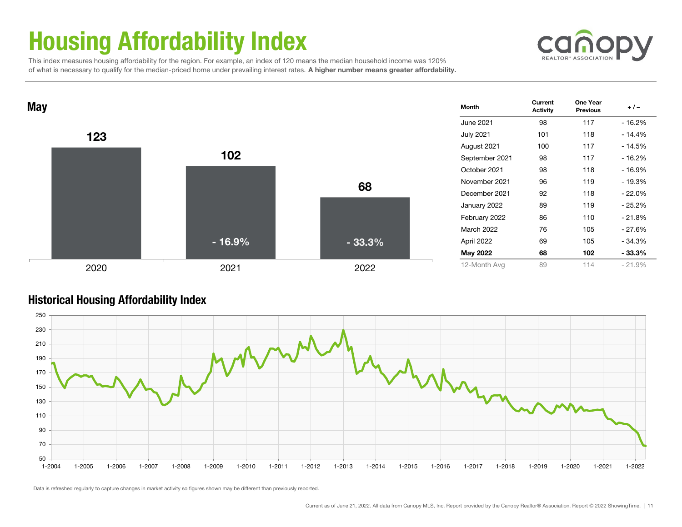# Housing Affordability Index



 This index measures housing affordability for the region. For example, an index of 120 means the median household income was 120% of what is necessary to qualify for the median-priced home under prevailing interest rates. A higher number means greater affordability.



#### Historical Housing Affordability Index